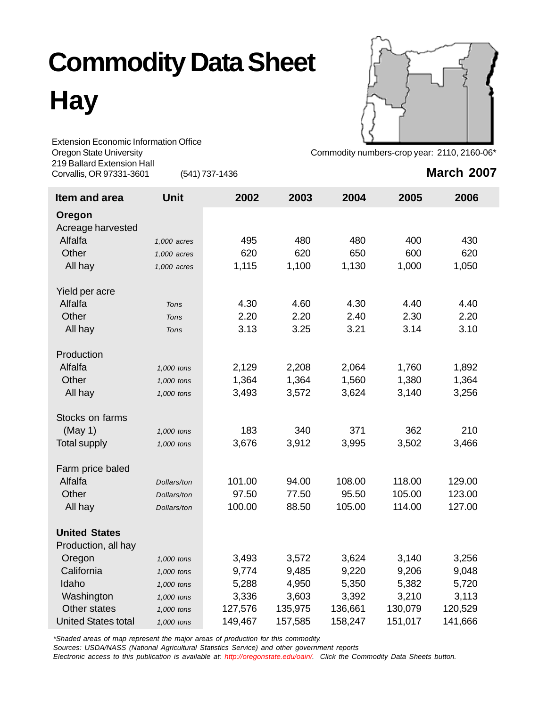# **Commodity Data Sheet**

**Hay**



Extension Economic Information Office Oregon State University **Commodity numbers-crop year: 2110, 2160-06**\* 219 Ballard Extension Hall Corvallis, OR 97331-3601 (541) 737-1436

## **March 2007**

| Item and area              | <b>Unit</b> | 2002    | 2003    | 2004    | 2005    | 2006    |
|----------------------------|-------------|---------|---------|---------|---------|---------|
| Oregon                     |             |         |         |         |         |         |
| Acreage harvested          |             |         |         |         |         |         |
| Alfalfa                    | 1,000 acres | 495     | 480     | 480     | 400     | 430     |
| Other                      | 1,000 acres | 620     | 620     | 650     | 600     | 620     |
| All hay                    | 1,000 acres | 1,115   | 1,100   | 1,130   | 1,000   | 1,050   |
| Yield per acre             |             |         |         |         |         |         |
| Alfalfa                    | Tons        | 4.30    | 4.60    | 4.30    | 4.40    | 4.40    |
| Other                      | <b>Tons</b> | 2.20    | 2.20    | 2.40    | 2.30    | 2.20    |
| All hay                    | <b>Tons</b> | 3.13    | 3.25    | 3.21    | 3.14    | 3.10    |
| Production                 |             |         |         |         |         |         |
| Alfalfa                    | 1,000 tons  | 2,129   | 2,208   | 2,064   | 1,760   | 1,892   |
| Other                      | 1,000 tons  | 1,364   | 1,364   | 1,560   | 1,380   | 1,364   |
| All hay                    | 1,000 tons  | 3,493   | 3,572   | 3,624   | 3,140   | 3,256   |
| Stocks on farms            |             |         |         |         |         |         |
| (May 1)                    | 1,000 tons  | 183     | 340     | 371     | 362     | 210     |
| <b>Total supply</b>        | 1,000 tons  | 3,676   | 3,912   | 3,995   | 3,502   | 3,466   |
| Farm price baled           |             |         |         |         |         |         |
| Alfalfa                    | Dollars/ton | 101.00  | 94.00   | 108.00  | 118.00  | 129.00  |
| Other                      | Dollars/ton | 97.50   | 77.50   | 95.50   | 105.00  | 123.00  |
| All hay                    | Dollars/ton | 100.00  | 88.50   | 105.00  | 114.00  | 127.00  |
| <b>United States</b>       |             |         |         |         |         |         |
| Production, all hay        |             |         |         |         |         |         |
| Oregon                     | 1,000 tons  | 3,493   | 3,572   | 3,624   | 3,140   | 3,256   |
| California                 | 1,000 tons  | 9,774   | 9,485   | 9,220   | 9,206   | 9,048   |
| Idaho                      | 1,000 tons  | 5,288   | 4,950   | 5,350   | 5,382   | 5,720   |
| Washington                 | 1,000 tons  | 3,336   | 3,603   | 3,392   | 3,210   | 3,113   |
| Other states               | 1,000 tons  | 127,576 | 135,975 | 136,661 | 130,079 | 120,529 |
| <b>United States total</b> | 1,000 tons  | 149,467 | 157,585 | 158,247 | 151,017 | 141,666 |

*\*Shaded areas of map represent the major areas of production for this commodity.*

*Sources: USDA/NASS (National Agricultural Statistics Service) and other government reports*

*Electronic access to this publication is available at: http://oregonstate.edu/oain/. Click the Commodity Data Sheets button.*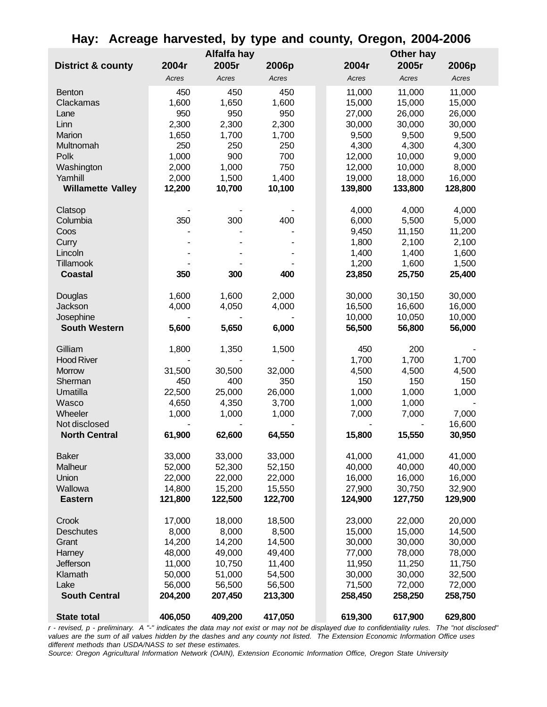|                              |         | Alfalfa hay |         |         | Other hay |         |
|------------------------------|---------|-------------|---------|---------|-----------|---------|
| <b>District &amp; county</b> | 2004r   | 2005r       | 2006p   | 2004r   | 2005r     | 2006p   |
|                              | Acres   | Acres       | Acres   | Acres   | Acres     | Acres   |
| <b>Benton</b>                | 450     | 450         | 450     | 11,000  | 11,000    | 11,000  |
| Clackamas                    | 1,600   | 1,650       | 1,600   | 15,000  | 15,000    | 15,000  |
| Lane                         | 950     | 950         | 950     | 27,000  | 26,000    | 26,000  |
| Linn                         | 2,300   | 2,300       | 2,300   | 30,000  | 30,000    | 30,000  |
| Marion                       | 1,650   | 1,700       | 1,700   | 9,500   | 9,500     | 9,500   |
| Multnomah                    | 250     | 250         | 250     | 4,300   | 4,300     | 4,300   |
| Polk                         | 1,000   | 900         | 700     | 12,000  | 10,000    | 9,000   |
| Washington                   | 2,000   | 1,000       | 750     | 12,000  | 10,000    | 8,000   |
| Yamhill                      | 2,000   | 1,500       | 1,400   | 19,000  | 18,000    | 16,000  |
| <b>Willamette Valley</b>     | 12,200  | 10,700      | 10,100  | 139,800 | 133,800   | 128,800 |
| Clatsop                      |         |             |         | 4,000   | 4,000     | 4,000   |
| Columbia                     | 350     | 300         | 400     | 6,000   | 5,500     | 5,000   |
| Coos                         |         |             |         | 9,450   | 11,150    | 11,200  |
| Curry                        |         |             |         | 1,800   | 2,100     | 2,100   |
| Lincoln                      |         |             |         | 1,400   | 1,400     | 1,600   |
| Tillamook                    |         |             |         | 1,200   | 1,600     | 1,500   |
| Coastal                      | 350     | 300         | 400     | 23,850  | 25,750    | 25,400  |
| Douglas                      | 1,600   | 1,600       | 2,000   | 30,000  | 30,150    | 30,000  |
| Jackson                      | 4,000   | 4,050       | 4,000   | 16,500  | 16,600    | 16,000  |
| Josephine                    |         |             |         | 10,000  | 10,050    | 10,000  |
| <b>South Western</b>         | 5,600   | 5,650       | 6,000   | 56,500  | 56,800    | 56,000  |
| Gilliam                      | 1,800   | 1,350       | 1,500   | 450     | 200       |         |
| <b>Hood River</b>            |         |             |         | 1,700   | 1,700     | 1,700   |
| <b>Morrow</b>                | 31,500  | 30,500      | 32,000  | 4,500   | 4,500     | 4,500   |
| Sherman                      | 450     | 400         | 350     | 150     | 150       | 150     |
| Umatilla                     | 22,500  | 25,000      | 26,000  | 1,000   | 1,000     | 1,000   |
| Wasco                        | 4,650   | 4,350       | 3,700   | 1,000   | 1,000     |         |
| Wheeler                      | 1,000   | 1,000       | 1,000   | 7,000   | 7,000     | 7,000   |
| Not disclosed                |         |             |         |         |           | 16,600  |
| <b>North Central</b>         | 61,900  | 62,600      | 64,550  | 15,800  | 15,550    | 30,950  |
| <b>Baker</b>                 | 33,000  | 33,000      | 33,000  | 41,000  | 41,000    | 41,000  |
| Malheur                      | 52,000  | 52,300      | 52,150  | 40,000  | 40,000    | 40,000  |
| Union                        | 22,000  | 22,000      | 22,000  | 16,000  | 16,000    | 16,000  |
| Wallowa                      | 14,800  | 15,200      | 15,550  | 27,900  | 30,750    | 32,900  |
| <b>Eastern</b>               | 121,800 | 122,500     | 122,700 | 124,900 | 127,750   | 129,900 |
| Crook                        | 17,000  | 18,000      | 18,500  | 23,000  | 22,000    | 20,000  |
| <b>Deschutes</b>             | 8,000   | 8,000       | 8,500   | 15,000  | 15,000    | 14,500  |
| Grant                        | 14,200  | 14,200      | 14,500  | 30,000  | 30,000    | 30,000  |
| Harney                       | 48,000  | 49,000      | 49,400  | 77,000  | 78,000    | 78,000  |
| Jefferson                    | 11,000  | 10,750      | 11,400  | 11,950  | 11,250    | 11,750  |
| Klamath                      | 50,000  | 51,000      | 54,500  | 30,000  | 30,000    | 32,500  |
| Lake                         | 56,000  | 56,500      | 56,500  | 71,500  | 72,000    | 72,000  |
| <b>South Central</b>         | 204,200 | 207,450     | 213,300 | 258,450 | 258,250   | 258,750 |
| <b>State total</b>           | 406,050 | 409,200     | 417,050 | 619,300 | 617,900   | 629,800 |

#### **Hay: Acreage harvested, by type and county, Oregon, 2004-2006**

*r - revised, p - preliminary. A "-" indicates the data may not exist or may not be displayed due to confidentiality rules. The "not disclosed" values are the sum of all values hidden by the dashes and any county not listed. The Extension Economic Information Office uses different methods than USDA/NASS to set these estimates.*

*Source: Oregon Agricultural Information Network (OAIN), Extension Economic Information Office, Oregon State University*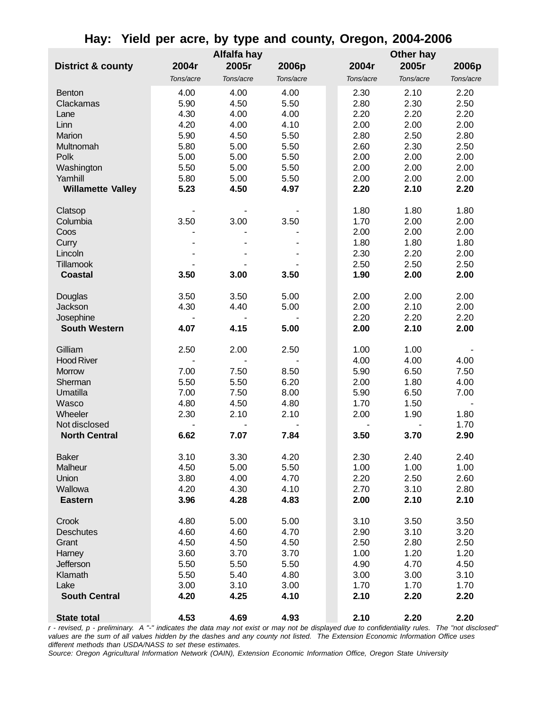|                              |           | Alfalfa hay |           |           | Other hay |           |
|------------------------------|-----------|-------------|-----------|-----------|-----------|-----------|
| <b>District &amp; county</b> | 2004r     | 2005r       | 2006p     | 2004r     | 2005r     | 2006p     |
|                              | Tons/acre | Tons/acre   | Tons/acre | Tons/acre | Tons/acre | Tons/acre |
|                              |           |             |           |           |           |           |
| <b>Benton</b>                | 4.00      | 4.00        | 4.00      | 2.30      | 2.10      | 2.20      |
| Clackamas                    | 5.90      | 4.50        | 5.50      | 2.80      | 2.30      | 2.50      |
| Lane                         | 4.30      | 4.00        | 4.00      | 2.20      | 2.20      | 2.20      |
| Linn                         | 4.20      | 4.00        | 4.10      | 2.00      | 2.00      | 2.00      |
| Marion                       | 5.90      | 4.50        | 5.50      | 2.80      | 2.50      | 2.80      |
| Multnomah                    | 5.80      | 5.00        | 5.50      | 2.60      | 2.30      | 2.50      |
| Polk                         | 5.00      | 5.00        | 5.50      | 2.00      | 2.00      | 2.00      |
| Washington                   | 5.50      | 5.00        | 5.50      | 2.00      | 2.00      | 2.00      |
| Yamhill                      | 5.80      | 5.00        | 5.50      | 2.00      | 2.00      | 2.00      |
| <b>Willamette Valley</b>     | 5.23      | 4.50        | 4.97      | 2.20      | 2.10      | 2.20      |
| Clatsop                      |           |             |           | 1.80      | 1.80      | 1.80      |
| Columbia                     | 3.50      | 3.00        | 3.50      | 1.70      | 2.00      | 2.00      |
| Coos                         |           |             |           | 2.00      | 2.00      | 2.00      |
| Curry                        |           |             |           | 1.80      | 1.80      | 1.80      |
| Lincoln                      |           |             |           | 2.30      | 2.20      | 2.00      |
| <b>Tillamook</b>             |           |             |           | 2.50      | 2.50      | 2.50      |
| <b>Coastal</b>               | 3.50      | 3.00        | 3.50      | 1.90      | 2.00      | 2.00      |
|                              |           |             |           |           |           |           |
| Douglas                      | 3.50      | 3.50        | 5.00      | 2.00      | 2.00      | 2.00      |
| Jackson                      | 4.30      | 4.40        | 5.00      | 2.00      | 2.10      | 2.00      |
| Josephine                    |           |             |           | 2.20      | 2.20      | 2.20      |
| <b>South Western</b>         | 4.07      | 4.15        | 5.00      | 2.00      | 2.10      | 2.00      |
| Gilliam                      | 2.50      | 2.00        | 2.50      | 1.00      | 1.00      |           |
| <b>Hood River</b>            |           |             |           | 4.00      | 4.00      | 4.00      |
| Morrow                       | 7.00      | 7.50        | 8.50      | 5.90      | 6.50      | 7.50      |
| Sherman                      | 5.50      | 5.50        | 6.20      | 2.00      | 1.80      | 4.00      |
| Umatilla                     | 7.00      | 7.50        | 8.00      | 5.90      | 6.50      | 7.00      |
| Wasco                        | 4.80      | 4.50        | 4.80      | 1.70      | 1.50      |           |
| Wheeler                      | 2.30      | 2.10        | 2.10      | 2.00      | 1.90      | 1.80      |
| Not disclosed                |           |             |           |           |           | 1.70      |
| <b>North Central</b>         | 6.62      | 7.07        | 7.84      | 3.50      | 3.70      | 2.90      |
| <b>Baker</b>                 | 3.10      | 3.30        | 4.20      | 2.30      | 2.40      | 2.40      |
| Malheur                      | 4.50      | 5.00        | 5.50      | 1.00      | 1.00      | 1.00      |
| Union                        | 3.80      | 4.00        | 4.70      | 2.20      | 2.50      | 2.60      |
| Wallowa                      | 4.20      | 4.30        | 4.10      | 2.70      | 3.10      | 2.80      |
| <b>Eastern</b>               | 3.96      | 4.28        | 4.83      | 2.00      | 2.10      | 2.10      |
|                              |           |             |           |           |           |           |
| Crook                        | 4.80      | 5.00        | 5.00      | 3.10      | 3.50      | 3.50      |
| <b>Deschutes</b>             | 4.60      | 4.60        | 4.70      | 2.90      | 3.10      | 3.20      |
| Grant                        | 4.50      | 4.50        | 4.50      | 2.50      | 2.80      | 2.50      |
| Harney                       | 3.60      | 3.70        | 3.70      | 1.00      | 1.20      | 1.20      |
| Jefferson                    | 5.50      | 5.50        | 5.50      | 4.90      | 4.70      | 4.50      |
| Klamath                      | 5.50      | 5.40        | 4.80      | 3.00      | 3.00      | 3.10      |
| Lake                         | 3.00      | 3.10        | 3.00      | 1.70      | 1.70      | 1.70      |
| <b>South Central</b>         | 4.20      | 4.25        | 4.10      | 2.10      | 2.20      | 2.20      |
| <b>State total</b>           | 4.53      | 4.69        | 4.93      | 2.10      | 2.20      | 2.20      |

**Hay: Yield per acre, by type and county, Oregon, 2004-2006**

*r - revised, p - preliminary. A "-" indicates the data may not exist or may not be displayed due to confidentiality rules. The "not disclosed" values are the sum of all values hidden by the dashes and any county not listed. The Extension Economic Information Office uses different methods than USDA/NASS to set these estimates.*

*Source: Oregon Agricultural Information Network (OAIN), Extension Economic Information Office, Oregon State University*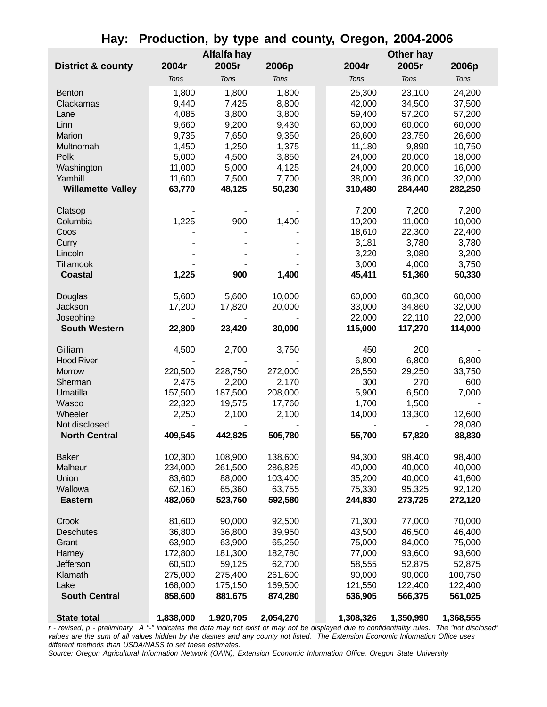|                              |           | Alfalfa hay |           |           | Other hay |           |
|------------------------------|-----------|-------------|-----------|-----------|-----------|-----------|
| <b>District &amp; county</b> | 2004r     | 2005r       | 2006p     | 2004r     | 2005r     | 2006p     |
|                              | Tons      | Tons        | Tons      | Tons      | Tons      | Tons      |
| <b>Benton</b>                | 1,800     | 1,800       | 1,800     | 25,300    | 23,100    | 24,200    |
| Clackamas                    | 9,440     | 7,425       | 8,800     | 42,000    | 34,500    | 37,500    |
| Lane                         | 4,085     | 3,800       | 3,800     | 59,400    | 57,200    | 57,200    |
| Linn                         | 9,660     | 9,200       | 9,430     | 60,000    | 60,000    | 60,000    |
| Marion                       | 9,735     | 7,650       | 9,350     | 26,600    | 23,750    | 26,600    |
| Multnomah                    | 1,450     | 1,250       | 1,375     | 11,180    | 9,890     | 10,750    |
| Polk                         | 5,000     | 4,500       | 3,850     | 24,000    | 20,000    | 18,000    |
| Washington                   | 11,000    | 5,000       | 4,125     | 24,000    | 20,000    | 16,000    |
| Yamhill                      | 11,600    | 7,500       | 7,700     | 38,000    | 36,000    | 32,000    |
| <b>Willamette Valley</b>     | 63,770    | 48,125      | 50,230    | 310,480   | 284,440   | 282,250   |
|                              |           |             |           |           |           |           |
| Clatsop                      |           |             |           | 7,200     | 7,200     | 7,200     |
| Columbia                     | 1,225     | 900         | 1,400     | 10,200    | 11,000    | 10,000    |
| Coos                         |           |             |           | 18,610    | 22,300    | 22,400    |
| Curry                        |           |             |           | 3,181     | 3,780     | 3,780     |
| Lincoln                      |           |             |           | 3,220     | 3,080     | 3,200     |
| Tillamook                    |           |             |           | 3,000     | 4,000     | 3,750     |
| <b>Coastal</b>               | 1,225     | 900         | 1,400     | 45,411    | 51,360    | 50,330    |
|                              |           |             |           |           |           |           |
| Douglas                      | 5,600     | 5,600       | 10,000    | 60,000    | 60,300    | 60,000    |
| Jackson                      | 17,200    | 17,820      | 20,000    | 33,000    | 34,860    | 32,000    |
| Josephine                    |           |             |           | 22,000    | 22,110    | 22,000    |
| <b>South Western</b>         | 22,800    | 23,420      | 30,000    | 115,000   | 117,270   | 114,000   |
| Gilliam                      | 4,500     | 2,700       | 3,750     | 450       | 200       |           |
| <b>Hood River</b>            |           |             |           | 6,800     | 6,800     | 6,800     |
| <b>Morrow</b>                | 220,500   | 228,750     | 272,000   | 26,550    | 29,250    | 33,750    |
| Sherman                      | 2,475     | 2,200       | 2,170     | 300       | 270       | 600       |
| Umatilla                     | 157,500   | 187,500     | 208,000   | 5,900     | 6,500     | 7,000     |
| Wasco                        | 22,320    | 19,575      | 17,760    | 1,700     | 1,500     |           |
| Wheeler                      | 2,250     | 2,100       | 2,100     | 14,000    | 13,300    | 12,600    |
| Not disclosed                |           |             |           |           |           | 28,080    |
| <b>North Central</b>         | 409,545   | 442,825     | 505,780   | 55,700    | 57,820    | 88,830    |
|                              |           |             |           |           |           |           |
| <b>Baker</b>                 | 102,300   | 108,900     | 138,600   | 94,300    | 98,400    | 98,400    |
| Malheur                      | 234,000   | 261,500     | 286,825   | 40,000    | 40,000    | 40,000    |
| Union                        | 83,600    | 88,000      | 103,400   | 35,200    | 40,000    | 41,600    |
| Wallowa                      | 62,160    | 65,360      | 63,755    | 75,330    | 95,325    | 92,120    |
| <b>Eastern</b>               | 482,060   | 523,760     | 592,580   | 244,830   | 273,725   | 272,120   |
| Crook                        | 81,600    | 90,000      | 92,500    | 71,300    | 77,000    | 70,000    |
| <b>Deschutes</b>             | 36,800    | 36,800      | 39,950    | 43,500    | 46,500    | 46,400    |
| Grant                        | 63,900    | 63,900      | 65,250    | 75,000    | 84,000    | 75,000    |
| Harney                       | 172,800   | 181,300     | 182,780   | 77,000    | 93,600    | 93,600    |
| Jefferson                    | 60,500    | 59,125      | 62,700    | 58,555    | 52,875    | 52,875    |
| Klamath                      | 275,000   | 275,400     | 261,600   | 90,000    | 90,000    | 100,750   |
| Lake                         | 168,000   | 175,150     | 169,500   | 121,550   | 122,400   | 122,400   |
| <b>South Central</b>         | 858,600   |             |           |           |           |           |
|                              |           | 881,675     | 874,280   | 536,905   | 566,375   | 561,025   |
| <b>State total</b>           | 1,838,000 | 1,920,705   | 2,054,270 | 1,308,326 | 1,350,990 | 1,368,555 |

### **Hay: Production, by type and county, Oregon, 2004-2006**

*r - revised, p - preliminary. A "-" indicates the data may not exist or may not be displayed due to confidentiality rules. The "not disclosed" values are the sum of all values hidden by the dashes and any county not listed. The Extension Economic Information Office uses different methods than USDA/NASS to set these estimates.*

*Source: Oregon Agricultural Information Network (OAIN), Extension Economic Information Office, Oregon State University*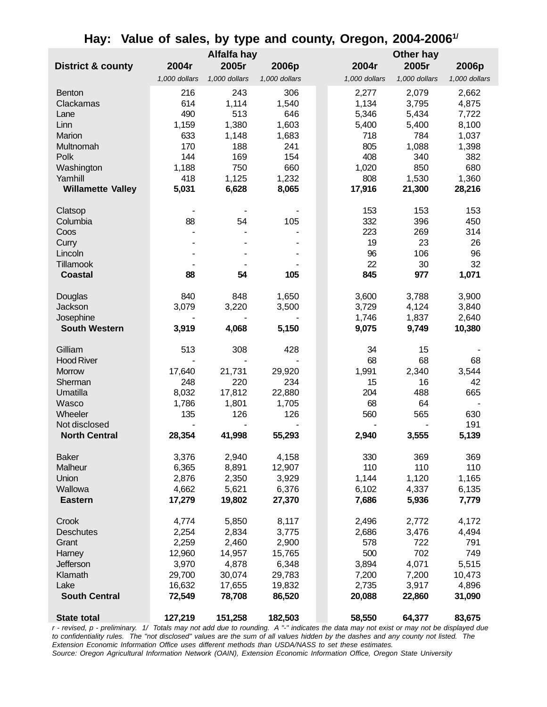|                              |                  | Alfalfa hay      |                  |                 | Other hay       |                 |
|------------------------------|------------------|------------------|------------------|-----------------|-----------------|-----------------|
| <b>District &amp; county</b> | 2004r            | 2005r            | 2006p            | 2004r           | 2005r           | 2006p           |
|                              | 1,000 dollars    | 1,000 dollars    | 1,000 dollars    | 1,000 dollars   | 1,000 dollars   | 1,000 dollars   |
| <b>Benton</b>                | 216              | 243              | 306              | 2,277           | 2,079           | 2,662           |
| Clackamas                    | 614              | 1,114            | 1,540            | 1,134           | 3,795           | 4,875           |
|                              | 490              | 513              | 646              | 5,346           | 5,434           |                 |
| Lane<br>Linn                 |                  | 1,380            | 1,603            |                 |                 | 7,722           |
| Marion                       | 1,159<br>633     |                  | 1,683            | 5,400<br>718    | 5,400<br>784    | 8,100           |
| Multnomah                    | 170              | 1,148<br>188     | 241              | 805             | 1,088           | 1,037           |
| Polk                         | 144              | 169              | 154              | 408             | 340             | 1,398<br>382    |
| Washington                   | 1,188            | 750              | 660              | 1,020           | 850             | 680             |
| Yamhill                      | 418              | 1,125            | 1,232            | 808             | 1,530           | 1,360           |
| <b>Willamette Valley</b>     |                  | 6,628            | 8,065            | 17,916          | 21,300          | 28,216          |
|                              | 5,031            |                  |                  |                 |                 |                 |
| Clatsop                      |                  |                  |                  | 153             | 153             | 153             |
| Columbia                     | 88               | 54               | 105              | 332             | 396             | 450             |
| Coos                         |                  |                  |                  | 223             | 269             | 314             |
| Curry                        |                  |                  |                  | 19              | 23              | 26              |
| Lincoln                      |                  |                  |                  | 96              | 106             | 96              |
| Tillamook                    |                  |                  |                  | 22              | 30              | 32              |
| <b>Coastal</b>               | 88               | 54               | 105              | 845             | 977             | 1,071           |
|                              |                  |                  |                  |                 |                 |                 |
| Douglas                      | 840              | 848              | 1,650            | 3,600           | 3,788           | 3,900           |
| Jackson                      | 3,079            | 3,220            | 3,500            | 3,729           | 4,124           | 3,840           |
| Josephine                    |                  |                  |                  | 1,746           | 1,837           | 2,640           |
| <b>South Western</b>         | 3,919            | 4,068            | 5,150            | 9,075           | 9,749           | 10,380          |
| Gilliam                      | 513              | 308              | 428              | 34              | 15              |                 |
| <b>Hood River</b>            |                  |                  |                  | 68              | 68              | 68              |
| <b>Morrow</b>                | 17,640           | 21,731           | 29,920           | 1,991           | 2,340           | 3,544           |
| Sherman                      | 248              | 220              | 234              | 15              | 16              | 42              |
| Umatilla                     | 8,032            | 17,812           | 22,880           | 204             | 488             | 665             |
| Wasco                        | 1,786            | 1,801            | 1,705            | 68              | 64              |                 |
| Wheeler                      | 135              | 126              | 126              | 560             | 565             | 630             |
| Not disclosed                |                  |                  |                  |                 |                 | 191             |
| <b>North Central</b>         | 28,354           | 41,998           | 55,293           | 2,940           | 3,555           | 5,139           |
|                              |                  |                  |                  |                 |                 |                 |
| <b>Baker</b>                 | 3,376            | 2,940            | 4,158            | 330             | 369             | 369             |
| Malheur                      |                  |                  |                  |                 |                 |                 |
| Union                        | 6,365            | 8,891            | 12,907           | 110             | 110             | 110             |
| Wallowa                      | 2,876            | 2,350            | 3,929            | 1,144           | 1,120           | 1,165           |
| <b>Eastern</b>               | 4,662            | 5,621            | 6,376            | 6,102           | 4,337           | 6,135           |
| Crook                        | 17,279           | 19,802           | 27,370           | 7,686           | 5,936           | 7,779           |
|                              |                  |                  |                  |                 |                 |                 |
|                              | 4,774            | 5,850            | 8,117            | 2,496           | 2,772           | 4,172           |
| <b>Deschutes</b>             | 2,254            | 2,834            | 3,775            | 2,686           | 3,476           | 4,494           |
| Grant                        | 2,259            | 2,460            | 2,900            | 578             | 722             | 791             |
| Harney                       | 12,960           | 14,957           | 15,765           | 500             | 702             | 749             |
| Jefferson                    | 3,970            | 4,878            | 6,348            | 3,894           | 4,071           | 5,515           |
| Klamath                      | 29,700           | 30,074           | 29,783           | 7,200           | 7,200           | 10,473          |
| Lake<br><b>South Central</b> | 16,632<br>72,549 | 17,655<br>78,708 | 19,832<br>86,520 | 2,735<br>20,088 | 3,917<br>22,860 | 4,896<br>31,090 |

### **Hay: Value of sales, by type and county, Oregon, 2004-20061/**

*r - revised, p - preliminary. 1/ Totals may not add due to rounding. A "-" indicates the data may not exist or may not be displayed due to confidentiality rules. The "not disclosed" values are the sum of all values hidden by the dashes and any county not listed. The Extension Economic Information Office uses different methods than USDA/NASS to set these estimates. Source: Oregon Agricultural Information Network (OAIN), Extension Economic Information Office, Oregon State University*